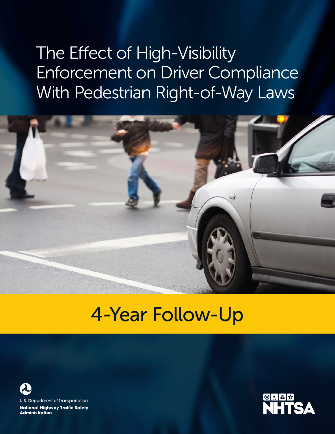# The Effect of High-Visibility Enforcement on Driver Compliance With Pedestrian Right-of-Way Laws



## 4-Year Follow-Up



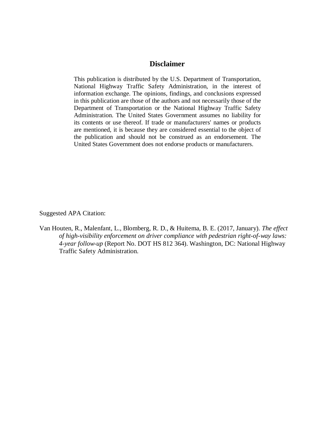## **Disclaimer**

This publication is distributed by the U.S. Department of Transportation, National Highway Traffic Safety Administration, in the interest of information exchange. The opinions, findings, and conclusions expressed in this publication are those of the authors and not necessarily those of the Department of Transportation or the National Highway Traffic Safety Administration. The United States Government assumes no liability for its contents or use thereof. If trade or manufacturers' names or products are mentioned, it is because they are considered essential to the object of the publication and should not be construed as an endorsement. The United States Government does not endorse products or manufacturers.

Suggested APA Citation:

Van Houten, R., Malenfant, L., Blomberg, R. D., & Huitema, B. E. (2017, January). *The effect of high-visibility enforcement on driver compliance with pedestrian right-of-way laws: 4-year follow-up* (Report No. DOT HS 812 364). Washington, DC: National Highway Traffic Safety Administration.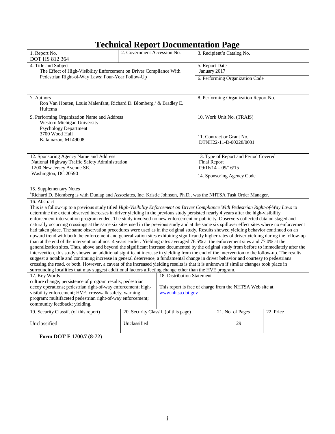## **Technical Report Documentation Page**

| 1. Report No.<br>DOT HS 812 364                                                                                                                                                                                                                                                                                                                                                                                                                                                                                                                                                                                                                                                                                                                                                                                                                                                                                                                                                                                                                                                                                                                                                                                                                                                                                                                                                                                                                                                                                                                                                                                                                                                                                                    | 2. Government Accession No.          |                                                                               |                                                                                       | 3. Recipient's Catalog No.                          |  |
|------------------------------------------------------------------------------------------------------------------------------------------------------------------------------------------------------------------------------------------------------------------------------------------------------------------------------------------------------------------------------------------------------------------------------------------------------------------------------------------------------------------------------------------------------------------------------------------------------------------------------------------------------------------------------------------------------------------------------------------------------------------------------------------------------------------------------------------------------------------------------------------------------------------------------------------------------------------------------------------------------------------------------------------------------------------------------------------------------------------------------------------------------------------------------------------------------------------------------------------------------------------------------------------------------------------------------------------------------------------------------------------------------------------------------------------------------------------------------------------------------------------------------------------------------------------------------------------------------------------------------------------------------------------------------------------------------------------------------------|--------------------------------------|-------------------------------------------------------------------------------|---------------------------------------------------------------------------------------|-----------------------------------------------------|--|
| 4. Title and Subject<br>The Effect of High-Visibility Enforcement on Driver Compliance With                                                                                                                                                                                                                                                                                                                                                                                                                                                                                                                                                                                                                                                                                                                                                                                                                                                                                                                                                                                                                                                                                                                                                                                                                                                                                                                                                                                                                                                                                                                                                                                                                                        |                                      | 5. Report Date<br>January 2017                                                |                                                                                       |                                                     |  |
| Pedestrian Right-of-Way Laws: Four-Year Follow-Up                                                                                                                                                                                                                                                                                                                                                                                                                                                                                                                                                                                                                                                                                                                                                                                                                                                                                                                                                                                                                                                                                                                                                                                                                                                                                                                                                                                                                                                                                                                                                                                                                                                                                  |                                      |                                                                               |                                                                                       | 6. Performing Organization Code                     |  |
| 7. Authors<br>Ron Van Houten, Louis Malenfant, Richard D. Blomberg, <sup>a</sup> & Bradley E.<br>Huitema                                                                                                                                                                                                                                                                                                                                                                                                                                                                                                                                                                                                                                                                                                                                                                                                                                                                                                                                                                                                                                                                                                                                                                                                                                                                                                                                                                                                                                                                                                                                                                                                                           |                                      |                                                                               |                                                                                       | 8. Performing Organization Report No.               |  |
| 9. Performing Organization Name and Address<br>Western Michigan University<br><b>Psychology Department</b>                                                                                                                                                                                                                                                                                                                                                                                                                                                                                                                                                                                                                                                                                                                                                                                                                                                                                                                                                                                                                                                                                                                                                                                                                                                                                                                                                                                                                                                                                                                                                                                                                         |                                      |                                                                               |                                                                                       | 10. Work Unit No. (TRAIS)                           |  |
| 3700 Wood Hall<br>Kalamazoo, MI 49008                                                                                                                                                                                                                                                                                                                                                                                                                                                                                                                                                                                                                                                                                                                                                                                                                                                                                                                                                                                                                                                                                                                                                                                                                                                                                                                                                                                                                                                                                                                                                                                                                                                                                              |                                      |                                                                               |                                                                                       | 11. Contract or Grant No.<br>DTNH22-11-D-00228/0001 |  |
| 12. Sponsoring Agency Name and Address<br>National Highway Traffic Safety Administration<br>1200 New Jersey Avenue SE.                                                                                                                                                                                                                                                                                                                                                                                                                                                                                                                                                                                                                                                                                                                                                                                                                                                                                                                                                                                                                                                                                                                                                                                                                                                                                                                                                                                                                                                                                                                                                                                                             |                                      |                                                                               | 13. Type of Report and Period Covered<br><b>Final Report</b><br>$09/16/14 - 09/16/15$ |                                                     |  |
| Washington, DC 20590                                                                                                                                                                                                                                                                                                                                                                                                                                                                                                                                                                                                                                                                                                                                                                                                                                                                                                                                                                                                                                                                                                                                                                                                                                                                                                                                                                                                                                                                                                                                                                                                                                                                                                               |                                      |                                                                               | 14. Sponsoring Agency Code                                                            |                                                     |  |
| 15. Supplementary Notes<br><sup>a</sup> Richard D. Blomberg is with Dunlap and Associates, Inc. Kristie Johnson, Ph.D., was the NHTSA Task Order Manager.                                                                                                                                                                                                                                                                                                                                                                                                                                                                                                                                                                                                                                                                                                                                                                                                                                                                                                                                                                                                                                                                                                                                                                                                                                                                                                                                                                                                                                                                                                                                                                          |                                      |                                                                               |                                                                                       |                                                     |  |
| 16. Abstract<br>This is a follow-up to a previous study titled High-Visibility Enforcement on Driver Compliance With Pedestrian Right-of-Way Laws to<br>determine the extent observed increases in driver yielding in the previous study persisted nearly 4 years after the high-visibility<br>enforcement intervention program ended. The study involved no new enforcement or publicity. Observers collected data on staged and<br>naturally occurring crossings at the same six sites used in the previous study and at the same six spillover effect sites where no enforcement<br>had taken place. The same observation procedures were used as in the original study. Results showed yielding behavior continued on an<br>upward trend with both the enforcement and generalization sites exhibiting significantly higher rates of driver yielding during the follow-up<br>than at the end of the intervention almost 4 years earlier. Yielding rates averaged 76.5% at the enforcement sites and 77.0% at the<br>generalization sites. Thus, above and beyond the significant increase documented by the original study from before to immediately after the<br>intervention, this study showed an additional significant increase in yielding from the end of the intervention to the follow-up. The results<br>suggest a notable and continuing increase in general deterrence, a fundamental change in driver behavior and courtesy to pedestrians<br>crossing the road, or both. However, a caveat of the increased yielding results is that it is unknown if similar changes took place in<br>surrounding localities that may suggest additional factors affecting change other than the HVE program.<br>17. Key Words |                                      | 18. Distribution Statement                                                    |                                                                                       |                                                     |  |
| culture change; persistence of program results; pedestrian<br>decoy operations; pedestrian right-of-way enforcement; high-<br>visibility enforcement; HVE; crosswalk safety; warning<br>program; multifaceted pedestrian right-of-way enforcement;<br>community feedback; yielding.                                                                                                                                                                                                                                                                                                                                                                                                                                                                                                                                                                                                                                                                                                                                                                                                                                                                                                                                                                                                                                                                                                                                                                                                                                                                                                                                                                                                                                                |                                      | This report is free of charge from the NHTSA Web site at<br>www.nhtsa.dot.gov |                                                                                       |                                                     |  |
| 19. Security Classif. (of this report)<br>Unclassified                                                                                                                                                                                                                                                                                                                                                                                                                                                                                                                                                                                                                                                                                                                                                                                                                                                                                                                                                                                                                                                                                                                                                                                                                                                                                                                                                                                                                                                                                                                                                                                                                                                                             | 20. Security Classif. (of this page) |                                                                               | 21. No. of Pages<br>29                                                                | 22. Price                                           |  |
|                                                                                                                                                                                                                                                                                                                                                                                                                                                                                                                                                                                                                                                                                                                                                                                                                                                                                                                                                                                                                                                                                                                                                                                                                                                                                                                                                                                                                                                                                                                                                                                                                                                                                                                                    |                                      |                                                                               |                                                                                       |                                                     |  |

**Form DOT F 1700.7 (8-72**)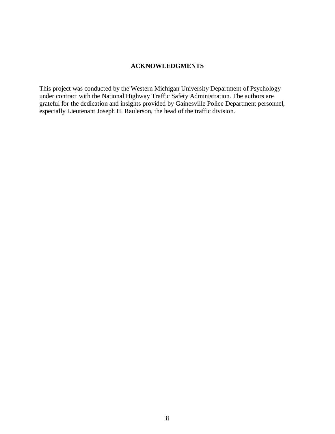#### **ACKNOWLEDGMENTS**

This project was conducted by the Western Michigan University Department of Psychology under contract with the National Highway Traffic Safety Administration. The authors are grateful for the dedication and insights provided by Gainesville Police Department personnel, especially Lieutenant Joseph H. Raulerson, the head of the traffic division.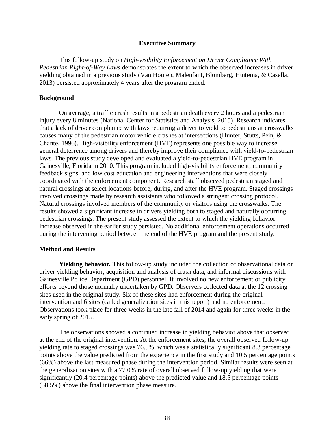#### **Executive Summary**

<span id="page-4-0"></span>This follow-up study on *High-visibility Enforcement on Driver Compliance With Pedestrian Right-of-Way Laws* demonstrates the extent to which the observed increases in driver yielding obtained in a previous study (Van Houten, Malenfant, Blomberg, Huitema, & Casella, 2013) persisted approximately 4 years after the program ended.

#### **Background**

On average, a traffic crash results in a pedestrian death every 2 hours and a pedestrian injury every 8 minutes (National Center for Statistics and Analysis, 2015). Research indicates that a lack of driver compliance with laws requiring a driver to yield to pedestrians at crosswalks causes many of the pedestrian motor vehicle crashes at intersections (Hunter, Stutts, Pein, & Chante, 1996). High-visibility enforcement (HVE) represents one possible way to increase general deterrence among drivers and thereby improve their compliance with yield-to-pedestrian laws. The previous study developed and evaluated a yield-to-pedestrian HVE program in Gainesville, Florida in 2010. This program included high-visibility enforcement, community feedback signs, and low cost education and engineering interventions that were closely coordinated with the enforcement component. Research staff observed pedestrian staged and natural crossings at select locations before, during, and after the HVE program. Staged crossings involved crossings made by research assistants who followed a stringent crossing protocol. Natural crossings involved members of the community or visitors using the crosswalks. The results showed a significant increase in drivers yielding both to staged and naturally occurring pedestrian crossings. The present study assessed the extent to which the yielding behavior increase observed in the earlier study persisted. No additional enforcement operations occurred during the intervening period between the end of the HVE program and the present study.

#### **Method and Results**

**Yielding behavior.** This follow-up study included the collection of observational data on driver yielding behavior, acquisition and analysis of crash data, and informal discussions with Gainesville Police Department (GPD) personnel. It involved no new enforcement or publicity efforts beyond those normally undertaken by GPD. Observers collected data at the 12 crossing sites used in the original study. Six of these sites had enforcement during the original intervention and 6 sites (called generalization sites in this report) had no enforcement. Observations took place for three weeks in the late fall of 2014 and again for three weeks in the early spring of 2015.

The observations showed a continued increase in yielding behavior above that observed at the end of the original intervention. At the enforcement sites, the overall observed follow-up yielding rate to staged crossings was 76.5%, which was a statistically significant 8.3 percentage points above the value predicted from the experience in the first study and 10.5 percentage points (66%) above the last measured phase during the intervention period. Similar results were seen at the generalization sites with a 77.0% rate of overall observed follow-up yielding that were significantly (20.4 percentage points) above the predicted value and 18.5 percentage points (58.5%) above the final intervention phase measure.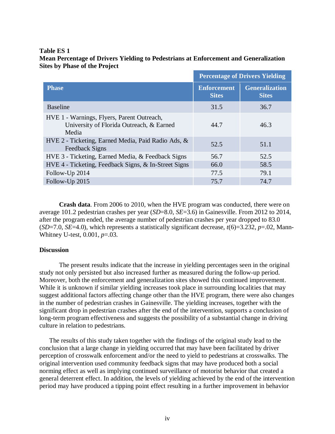#### **Table ES 1**

#### **Mean Percentage of Drivers Yielding to Pedestrians at Enforcement and Generalization Sites by Phase of the Project**

|                                                                                                 | <b>Percentage of Drivers Yielding</b> |                                       |  |
|-------------------------------------------------------------------------------------------------|---------------------------------------|---------------------------------------|--|
| <b>Phase</b>                                                                                    | <b>Enforcement</b><br><b>Sites</b>    | <b>Generalization</b><br><b>Sites</b> |  |
| <b>Baseline</b>                                                                                 | 31.5                                  | 36.7                                  |  |
| HVE 1 - Warnings, Flyers, Parent Outreach,<br>University of Florida Outreach, & Earned<br>Media | 44.7                                  | 46.3                                  |  |
| HVE 2 - Ticketing, Earned Media, Paid Radio Ads, &<br>Feedback Signs                            | 52.5                                  | 51.1                                  |  |
| HVE 3 - Ticketing, Earned Media, & Feedback Signs                                               | 56.7                                  | 52.5                                  |  |
| HVE 4 - Ticketing, Feedback Signs, & In-Street Signs                                            | 66.0                                  | 58.5                                  |  |
| Follow-Up 2014                                                                                  | 77.5                                  | 79.1                                  |  |
| Follow-Up 2015                                                                                  | 75.7                                  | 74.7                                  |  |

**Crash data**. From 2006 to 2010, when the HVE program was conducted, there were on average 101.2 pedestrian crashes per year (*SD*=8.0, *SE*=3.6) in Gainesville. From 2012 to 2014, after the program ended, the average number of pedestrian crashes per year dropped to 83.0  $(SD=7.0, SE=4.0)$ , which represents a statistically significant decrease,  $t(6)=3.232, p=.02$ , Mann-Whitney U-test, 0.001, *p*=.03.

#### **Discussion**

The present results indicate that the increase in yielding percentages seen in the original study not only persisted but also increased further as measured during the follow-up period. Moreover, both the enforcement and generalization sites showed this continued improvement. While it is unknown if similar yielding increases took place in surrounding localities that may suggest additional factors affecting change other than the HVE program, there were also changes in the number of pedestrian crashes in Gainesville. The yielding increases, together with the significant drop in pedestrian crashes after the end of the intervention, supports a conclusion of long-term program effectiveness and suggests the possibility of a substantial change in driving culture in relation to pedestrians.

The results of this study taken together with the findings of the original study lead to the conclusion that a large change in yielding occurred that may have been facilitated by driver perception of crosswalk enforcement and/or the need to yield to pedestrians at crosswalks. The original intervention used community feedback signs that may have produced both a social norming effect as well as implying continued surveillance of motorist behavior that created a general deterrent effect. In addition, the levels of yielding achieved by the end of the intervention period may have produced a tipping point effect resulting in a further improvement in behavior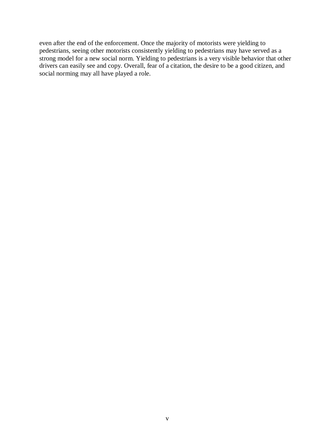even after the end of the enforcement. Once the majority of motorists were yielding to pedestrians, seeing other motorists consistently yielding to pedestrians may have served as a strong model for a new social norm. Yielding to pedestrians is a very visible behavior that other drivers can easily see and copy. Overall, fear of a citation, the desire to be a good citizen, and social norming may all have played a role.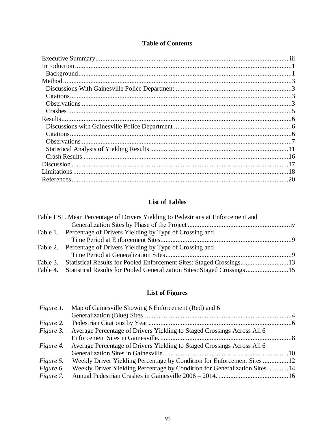## **Table of Contents**

## **List of Tables**

| Table ES1. Mean Percentage of Drivers Yielding to Pedestrians at Enforcement and |  |
|----------------------------------------------------------------------------------|--|
|                                                                                  |  |
| Table 1. Percentage of Drivers Yielding by Type of Crossing and                  |  |
|                                                                                  |  |
| Table 2. Percentage of Drivers Yielding by Type of Crossing and                  |  |
|                                                                                  |  |
| Table 3. Statistical Results for Pooled Enforcement Sites: Staged Crossings13    |  |
| Table 4. Statistical Results for Pooled Generalization Sites: Staged Crossings15 |  |

## **List of Figures**

|                  | <i>Figure 1.</i> Map of Gainesville Showing 6 Enforcement (Red) and 6       |  |
|------------------|-----------------------------------------------------------------------------|--|
|                  |                                                                             |  |
|                  |                                                                             |  |
| Figure 3.        | Average Percentage of Drivers Yielding to Staged Crossings Across All 6     |  |
|                  |                                                                             |  |
| <i>Figure 4.</i> | Average Percentage of Drivers Yielding to Staged Crossings Across All 6     |  |
|                  |                                                                             |  |
| Figure 5.        | Weekly Driver Yielding Percentage by Condition for Enforcement Sites12      |  |
| Figure 6.        | Weekly Driver Yielding Percentage by Condition for Generalization Sites. 14 |  |
|                  |                                                                             |  |
|                  |                                                                             |  |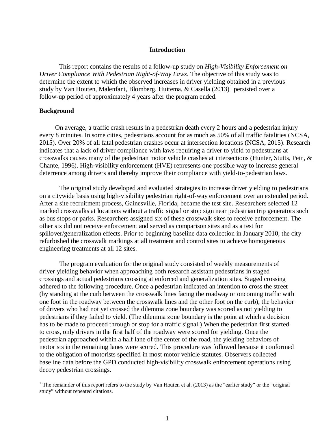#### **Introduction**

<span id="page-8-0"></span>This report contains the results of a follow-up study on *High-Visibility Enforcement on Driver Compliance With Pedestrian Right-of-Way Laws.* The objective of this study was to determine the extent to which the observed increases in driver yielding obtained in a previous study by Van Houten, Malenfant, Blomberg, Huitema, & Casella  $(2013)^1$  $(2013)^1$  $(2013)^1$  persisted over a follow-up period of approximately 4 years after the program ended.

#### <span id="page-8-1"></span>**Background**

On average, a traffic crash results in a pedestrian death every 2 hours and a pedestrian injury every 8 minutes. In some cities, pedestrians account for as much as 50% of all traffic fatalities (NCSA, 2015). Over 20% of all fatal pedestrian crashes occur at intersection locations (NCSA, 2015). Research indicates that a lack of driver compliance with laws requiring a driver to yield to pedestrians at crosswalks causes many of the pedestrian motor vehicle crashes at intersections (Hunter, Stutts, Pein, & Chante, 1996). High-visibility enforcement (HVE) represents one possible way to increase general deterrence among drivers and thereby improve their compliance with yield-to-pedestrian laws.

The original study developed and evaluated strategies to increase driver yielding to pedestrians on a citywide basis using high-visibility pedestrian right-of-way enforcement over an extended period. After a site recruitment process, Gainesville, Florida, became the test site. Researchers selected 12 marked crosswalks at locations without a traffic signal or stop sign near pedestrian trip generators such as bus stops or parks. Researchers assigned six of these crosswalk sites to receive enforcement. The other six did not receive enforcement and served as comparison sites and as a test for spillover/generalization effects. Prior to beginning baseline data collection in January 2010, the city refurbished the crosswalk markings at all treatment and control sites to achieve homogeneous engineering treatments at all 12 sites.

The program evaluation for the original study consisted of weekly measurements of driver yielding behavior when approaching both research assistant pedestrians in staged crossings and actual pedestrians crossing at enforced and generalization sites. Staged crossing adhered to the following procedure. Once a pedestrian indicated an intention to cross the street (by standing at the curb between the crosswalk lines facing the roadway or oncoming traffic with one foot in the roadway between the crosswalk lines and the other foot on the curb), the behavior of drivers who had not yet crossed the dilemma zone boundary was scored as not yielding to pedestrians if they failed to yield. (The dilemma zone boundary is the point at which a decision has to be made to proceed through or stop for a traffic signal.) When the pedestrian first started to cross, only drivers in the first half of the roadway were scored for yielding. Once the pedestrian approached within a half lane of the center of the road, the yielding behaviors of motorists in the remaining lanes were scored. This procedure was followed because it conformed to the obligation of motorists specified in most motor vehicle statutes. Observers collected baseline data before the GPD conducted high-visibility crosswalk enforcement operations using decoy pedestrian crossings.

<span id="page-8-2"></span><sup>&</sup>lt;sup>1</sup> The remainder of this report refers to the study by Van Houten et al. (2013) as the "earlier study" or the "original study" without repeated citations.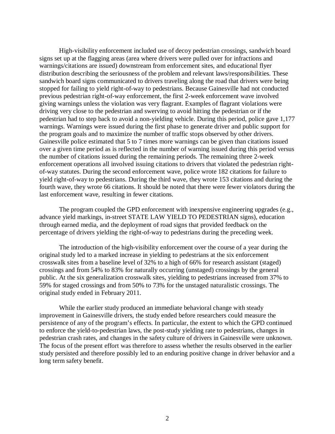High-visibility enforcement included use of decoy pedestrian crossings, sandwich board signs set up at the flagging areas (area where drivers were pulled over for infractions and warnings/citations are issued) downstream from enforcement sites, and educational flyer distribution describing the seriousness of the problem and relevant laws/responsibilities. These sandwich board signs communicated to drivers traveling along the road that drivers were being stopped for failing to yield right-of-way to pedestrians. Because Gainesville had not conducted previous pedestrian right-of-way enforcement, the first 2-week enforcement wave involved giving warnings unless the violation was very flagrant. Examples of flagrant violations were driving very close to the pedestrian and swerving to avoid hitting the pedestrian or if the pedestrian had to step back to avoid a non-yielding vehicle. During this period, police gave 1,177 warnings. Warnings were issued during the first phase to generate driver and public support for the program goals and to maximize the number of traffic stops observed by other drivers. Gainesville police estimated that 5 to 7 times more warnings can be given than citations issued over a given time period as is reflected in the number of warning issued during this period versus the number of citations issued during the remaining periods. The remaining three 2-week enforcement operations all involved issuing citations to drivers that violated the pedestrian rightof-way statutes. During the second enforcement wave, police wrote 182 citations for failure to yield right-of-way to pedestrians. During the third wave, they wrote 153 citations and during the fourth wave, they wrote 66 citations. It should be noted that there were fewer violators during the last enforcement wave, resulting in fewer citations.

The program coupled the GPD enforcement with inexpensive engineering upgrades (e.g., advance yield markings, in-street STATE LAW YIELD TO PEDESTRIAN signs), education through earned media, and the deployment of road signs that provided feedback on the percentage of drivers yielding the right-of-way to pedestrians during the preceding week.

The introduction of the high-visibility enforcement over the course of a year during the original study led to a marked increase in yielding to pedestrians at the six enforcement crosswalk sites from a baseline level of 32% to a high of 66% for research assistant (staged) crossings and from 54% to 83% for naturally occurring (unstaged) crossings by the general public. At the six generalization crosswalk sites, yielding to pedestrians increased from 37% to 59% for staged crossings and from 50% to 73% for the unstaged naturalistic crossings. The original study ended in February 2011.

While the earlier study produced an immediate behavioral change with steady improvement in Gainesville drivers, the study ended before researchers could measure the persistence of any of the program's effects. In particular, the extent to which the GPD continued to enforce the yield-to-pedestrian laws, the post-study yielding rate to pedestrians, changes in pedestrian crash rates, and changes in the safety culture of drivers in Gainesville were unknown. The focus of the present effort was therefore to assess whether the results observed in the earlier study persisted and therefore possibly led to an enduring positive change in driver behavior and a long term safety benefit.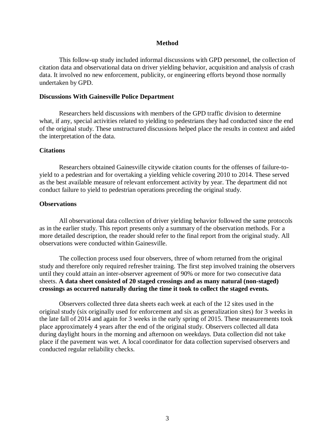#### **Method**

<span id="page-10-0"></span>This follow-up study included informal discussions with GPD personnel, the collection of citation data and observational data on driver yielding behavior, acquisition and analysis of crash data. It involved no new enforcement, publicity, or engineering efforts beyond those normally undertaken by GPD.

#### <span id="page-10-1"></span>**Discussions With Gainesville Police Department**

Researchers held discussions with members of the GPD traffic division to determine what, if any, special activities related to yielding to pedestrians they had conducted since the end of the original study. These unstructured discussions helped place the results in context and aided the interpretation of the data.

#### <span id="page-10-2"></span>**Citations**

Researchers obtained Gainesville citywide citation counts for the offenses of failure-toyield to a pedestrian and for overtaking a yielding vehicle covering 2010 to 2014. These served as the best available measure of relevant enforcement activity by year. The department did not conduct failure to yield to pedestrian operations preceding the original study.

#### <span id="page-10-3"></span>**Observations**

All observational data collection of driver yielding behavior followed the same protocols as in the earlier study. This report presents only a summary of the observation methods. For a more detailed description, the reader should refer to the final report from the original study. All observations were conducted within Gainesville.

The collection process used four observers, three of whom returned from the original study and therefore only required refresher training. The first step involved training the observers until they could attain an inter-observer agreement of 90% or more for two consecutive data sheets. **A data sheet consisted of 20 staged crossings and as many natural (non-staged) crossings as occurred naturally during the time it took to collect the staged events.** 

Observers collected three data sheets each week at each of the 12 sites used in the original study (six originally used for enforcement and six as generalization sites) for 3 weeks in the late fall of 2014 and again for 3 weeks in the early spring of 2015. These measurements took place approximately 4 years after the end of the original study. Observers collected all data during daylight hours in the morning and afternoon on weekdays. Data collection did not take place if the pavement was wet. A local coordinator for data collection supervised observers and conducted regular reliability checks.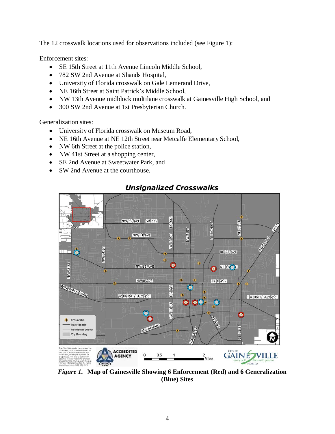The 12 crosswalk locations used for observations included (see [Figure 1\)](#page-11-0):

Enforcement sites:

- SE 15th Street at 11th Avenue Lincoln Middle School,
- 782 SW 2nd Avenue at Shands Hospital,
- University of Florida crosswalk on Gale Lemerand Drive,
- NE 16th Street at Saint Patrick's Middle School.
- NW 13th Avenue midblock multilane crosswalk at Gainesville High School, and
- 300 SW 2nd Avenue at 1st Presbyterian Church.

Generalization sites:

- University of Florida crosswalk on Museum Road,
- NE 16th Avenue at NE 12th Street near Metcalfe Elementary School,
- NW 6th Street at the police station,
- NW 41st Street at a shopping center,
- SE 2nd Avenue at Sweetwater Park, and
- SW 2nd Avenue at the courthouse.



## **Unsignalized Crosswalks**

<span id="page-11-0"></span>*Figure 1.* **Map of Gainesville Showing 6 Enforcement (Red) and 6 Generalization (Blue) Sites**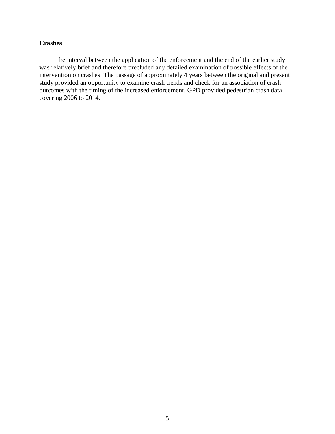#### <span id="page-12-0"></span>**Crashes**

The interval between the application of the enforcement and the end of the earlier study was relatively brief and therefore precluded any detailed examination of possible effects of the intervention on crashes. The passage of approximately 4 years between the original and present study provided an opportunity to examine crash trends and check for an association of crash outcomes with the timing of the increased enforcement. GPD provided pedestrian crash data covering 2006 to 2014.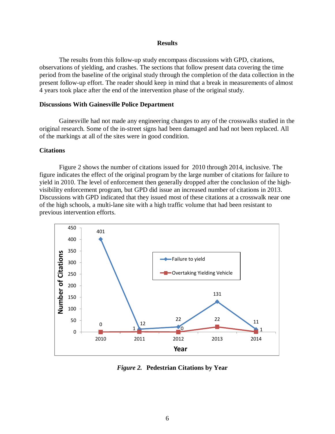#### **Results**

<span id="page-13-0"></span>The results from this follow-up study encompass discussions with GPD, citations, observations of yielding, and crashes. The sections that follow present data covering the time period from the baseline of the original study through the completion of the data collection in the present follow-up effort. The reader should keep in mind that a break in measurements of almost 4 years took place after the end of the intervention phase of the original study.

#### <span id="page-13-1"></span>**Discussions With Gainesville Police Department**

Gainesville had not made any engineering changes to any of the crosswalks studied in the original research. Some of the in-street signs had been damaged and had not been replaced. All of the markings at all of the sites were in good condition.

#### <span id="page-13-2"></span>**Citations**

[Figure 2](#page-13-3) shows the number of citations issued for 2010 through 2014, inclusive. The figure indicates the effect of the original program by the large number of citations for failure to yield in 2010. The level of enforcement then generally dropped after the conclusion of the highvisibility enforcement program, but GPD did issue an increased number of citations in 2013. Discussions with GPD indicated that they issued most of these citations at a crosswalk near one of the high schools, a multi-lane site with a high traffic volume that had been resistant to previous intervention efforts.



<span id="page-13-3"></span>*Figure 2.* **Pedestrian Citations by Year**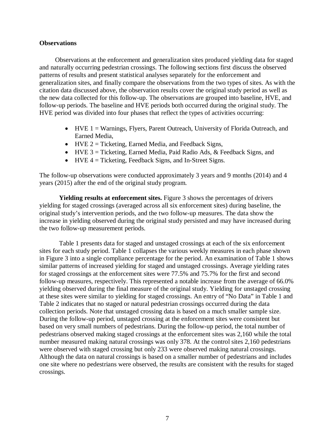#### <span id="page-14-0"></span>**Observations**

Observations at the enforcement and generalization sites produced yielding data for staged and naturally occurring pedestrian crossings. The following sections first discuss the observed patterns of results and present statistical analyses separately for the enforcement and generalization sites, and finally compare the observations from the two types of sites. As with the citation data discussed above, the observation results cover the original study period as well as the new data collected for this follow-up. The observations are grouped into baseline, HVE, and follow-up periods. The baseline and HVE periods both occurred during the original study. The HVE period was divided into four phases that reflect the types of activities occurring:

- HVE 1 = Warnings, Flyers, Parent Outreach, University of Florida Outreach, and Earned Media,
- HVE 2 = Ticketing, Earned Media, and Feedback Signs,
- HVE 3 = Ticketing, Earned Media, Paid Radio Ads, & Feedback Signs, and
- HVE  $4 =$  Ticketing, Feedback Signs, and In-Street Signs.

The follow-up observations were conducted approximately 3 years and 9 months (2014) and 4 years (2015) after the end of the original study program.

**Yielding results at enforcement sites.** Figure 3 shows the percentages of drivers yielding for staged crossings (averaged across all six enforcement sites) during baseline, the original study's intervention periods, and the two follow-up measures. The data show the increase in yielding observed during the original study persisted and may have increased during the two follow-up measurement periods.

[Table 1](#page-16-0) presents data for staged and unstaged crossings at each of the six enforcement sites for each study period. [Table 1](#page-16-0) collapses the various weekly measures in each phase shown in Figure 3 into a single compliance percentage for the period. An examination of [Table 1](#page-16-0) shows similar patterns of increased yielding for staged and unstaged crossings. Average yielding rates for staged crossings at the enforcement sites were 77.5% and 75.7% for the first and second follow-up measures, respectively. This represented a notable increase from the average of 66.0% yielding observed during the final measure of the original study. Yielding for unstaged crossing at these sites were similar to yielding for staged crossings. An entry of "No Data" in [Table 1](#page-16-0) and Table 2 indicates that no staged or natural pedestrian crossings occurred during the data collection periods. Note that unstaged crossing data is based on a much smaller sample size. During the follow-up period, unstaged crossing at the enforcement sites were consistent but based on very small numbers of pedestrians. During the follow-up period, the total number of pedestrians observed making staged crossings at the enforcement sites was 2,160 while the total number measured making natural crossings was only 378. At the control sites 2,160 pedestrians were observed with staged crossing but only 233 were observed making natural crossings. Although the data on natural crossings is based on a smaller number of pedestrians and includes one site where no pedestrians were observed, the results are consistent with the results for staged crossings.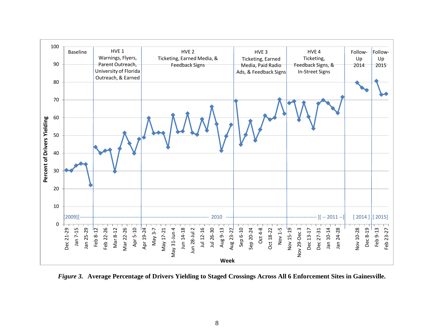

<span id="page-15-0"></span>*Figure 3.* **Average Percentage of Drivers Yielding to Staged Crossings Across All 6 Enforcement Sites in Gainesville.**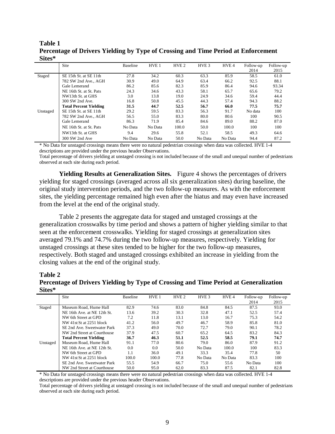#### <span id="page-16-0"></span>**Table 1 Percentage of Drivers Yielding by Type of Crossing and Time Period at Enforcement Sites\***

| ~~~~~    |                               |          |                  |                  |                  |         |           |           |
|----------|-------------------------------|----------|------------------|------------------|------------------|---------|-----------|-----------|
|          | Site                          | Baseline | HVE <sub>1</sub> | HVE <sub>2</sub> | HVE <sub>3</sub> | HVE 4   | Follow-up | Follow-up |
|          |                               |          |                  |                  |                  |         | 2014      | 2015      |
| Staged   | SE 15th St. at SE 11th        | 27.8     | 34.2             | 60.3             | 63.3             | 85.9    | 58.5      | 61.0      |
|          | 782 SW 2nd Ave., AGH          | 30.9     | 49.0             | 64.9             | 63.4             | 66.2    | 92.5      | 88.1      |
|          | Gale Lemerand                 | 86.2     | 85.6             | 82.3             | 85.9             | 86.4    | 94.6      | 93.34     |
|          | NE 16th St. at St. Pats       | 24.3     | 34.6             | 43.3             | 58.1             | 65.7    | 65.6      | 79.2      |
|          | NW13th St. at GHS             | 3.0      | 13.8             | 19.0             | 24.9             | 34.6    | 59.4      | 44.4      |
|          | 300 SW 2nd Ave.               | 16.8     | 50.8             | 45.5             | 44.3             | 57.4    | 94.3      | 88.2      |
|          | <b>Total Percent Yielding</b> | 31.5     | 44.7             | 52.5             | 56.7             | 66.0    | 77.5      | 75.7      |
| Unstaged | SE 15th St. at SE 11th        | 29.2     | 59.5             | 83.3             | 56.3             | 91.7    | No data   | 100       |
|          | 782 SW 2nd Ave., AGH          | 56.5     | 55.0             | 83.3             | 80.0             | 80.6    | 100       | 90.5      |
|          | Gale Lemerand                 | 86.3     | 71.9             | 85.4             | 84.6             | 89.0    | 88.2      | 87.0      |
|          | NE 16th St. at St. Pats       | No Data  | No Data          | 100.0            | 50.0             | 100.0   | 100       | 100       |
|          | NW13th St. at GHS             | 9.4      | 29.6             | 55.8             | 52.1             | 58.5    | 49.3      | 64.6      |
|          | 300 SW 2nd Ave                | No Data  | No Data          | 50.0             | No Data          | No Data | 94.4      | 87.2      |

\* No Data for unstaged crossings means there were no natural pedestrian crossings when data was collected. HVE 1-4 descriptions are provided under the previous header Observations.

Total percentage of drivers yielding at unstaged crossing is not included because of the small and unequal number of pedestrians observed at each site during each period.

**Yielding Results at Generalization Sites.** [Figure 4](#page-17-0) shows the percentages of drivers yielding for staged crossings (averaged across all six generalization sites) during baseline, the original study intervention periods, and the two follow-up measures. As with the enforcement sites, the yielding percentage remained high even after the hiatus and may even have increased from the level at the end of the original study.

Table 2 presents the aggregate data for staged and unstaged crossings at the generalization crosswalks by time period and shows a pattern of higher yielding similar to that seen at the enforcement crosswalks. Yielding for staged crossings at generalization sites averaged 79.1% and 74.7% during the two follow-up measures, respectively. Yielding for unstaged crossings at these sites tended to be higher for the two follow-up measures, respectively. Both staged and unstaged crossings exhibited an increase in yielding from the closing values at the end of the original study.

#### **Table 2**

#### <span id="page-16-1"></span>**Percentage of Drivers Yielding by Type of Crossing and Time Period at Generalization Sites\***

|          | Site                          | <b>Baseline</b> | HVE <sub>1</sub> | HVE <sub>2</sub> | HVE <sub>3</sub> | HVE <sub>4</sub> | Follow-up | Follow-up |
|----------|-------------------------------|-----------------|------------------|------------------|------------------|------------------|-----------|-----------|
|          |                               |                 |                  |                  |                  |                  | 2014      | 2015      |
| Staged   | Museum Road, Hume Hall        | 82.9            | 74.6             | 83.0             | 84.8             | 84.5             | 87.5      | 93.0      |
|          | NE 16th Ave. at NE 12th St.   | 13.6            | 39.2             | 30.3             | 32.8             | 47.1             | 52.5      | 57.4      |
|          | NW 6th Street at GPD          | 7.2             | 11.8             | 13.1             | 13.0             | 16.7             | 75.3      | 54.2      |
|          | NW 41st St at 2251 block      | 41.2            | 56.0             | 49.7             | 46.7             | 58.9             | 85.8      | 81.0      |
|          | SE 2nd Ave. Sweetwater Park   | 37.3            | 49.0             | 70.0             | 72.7             | 79.0             | 90.1      | 78.2      |
|          | NW 2nd Street at Courthouse   | 37.9            | 47.5             | 60.7             | 65.2             | 64.5             | 83.2      | 84.3      |
|          | <b>Total Percent Yielding</b> | 36.7            | 46.3             | 51.1             | 52.5             | 58.5             | 79.1      | 74.7      |
| Unstaged | Museum Road, Hume Hall        | 91.1            | 77.0             | 80.6             | 79.0             | 86.0             | 87.9      | 91.2      |
|          | NE 16th Ave. at NE 12th St.   | 0.0             | 0.0              | 50.0             | No Data          | 100.0            | 100       | 83.3      |
|          | NW 6th Street at GPD          | 1.1             | 36.0             | 49.1             | 33.3             | 35.4             | 77.8      | 50        |
|          | NW 41st St at 2251 block      | 100.0           | 100.0            | 77.8             | No Data          | No Data          | 83.3      | 100       |
|          | SE 2nd Ave. Sweetwater Park   | 55.5            | 54.9             | 66.7             | 75.0             | 55.6             | No Data   | 100       |
|          | NW 2nd Street at Courthouse   | 50.0            | 95.0             | 62.0             | 83.3             | 87.5             | 82.1      | 82.8      |

\* No Data for unstaged crossings means there were no natural pedestrian crossings when data was collected. HVE 1-4 descriptions are provided under the previous header Observations.

Total percentage of drivers yielding at unstaged crossing is not included because of the small and unequal number of pedestrians observed at each site during each period.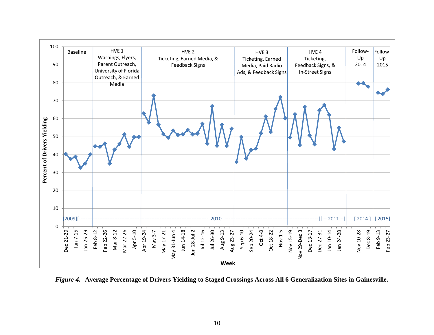

<span id="page-17-0"></span>*Figure 4.* **Average Percentage of Drivers Yielding to Staged Crossings Across All 6 Generalization Sites in Gainesville.**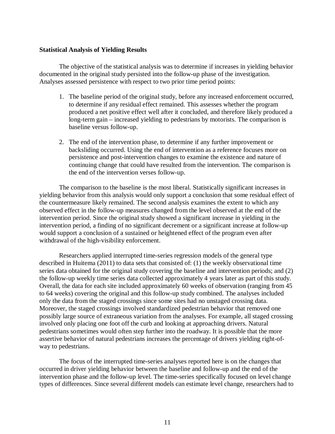#### <span id="page-18-0"></span>**Statistical Analysis of Yielding Results**

The objective of the statistical analysis was to determine if increases in yielding behavior documented in the original study persisted into the follow-up phase of the investigation. Analyses assessed persistence with respect to two prior time period points:

- 1. The baseline period of the original study, before any increased enforcement occurred, to determine if any residual effect remained. This assesses whether the program produced a net positive effect well after it concluded, and therefore likely produced a long-term gain – increased yielding to pedestrians by motorists. The comparison is baseline versus follow-up.
- 2. The end of the intervention phase, to determine if any further improvement or backsliding occurred. Using the end of intervention as a reference focuses more on persistence and post-intervention changes to examine the existence and nature of continuing change that could have resulted from the intervention. The comparison is the end of the intervention verses follow-up.

The comparison to the baseline is the most liberal. Statistically significant increases in yielding behavior from this analysis would only support a conclusion that some residual effect of the countermeasure likely remained. The second analysis examines the extent to which any observed effect in the follow-up measures changed from the level observed at the end of the intervention period. Since the original study showed a significant increase in yielding in the intervention period, a finding of no significant decrement or a significant increase at follow-up would support a conclusion of a sustained or heightened effect of the program even after withdrawal of the high-visibility enforcement.

Researchers applied interrupted time-series regression models of the general type described in Huitema (2011) to data sets that consisted of: (1) the weekly observational time series data obtained for the original study covering the baseline and intervention periods; and (2) the follow-up weekly time series data collected approximately 4 years later as part of this study. Overall, the data for each site included approximately 60 weeks of observation (ranging from 45 to 64 weeks) covering the original and this follow-up study combined. The analyses included only the data from the staged crossings since some sites had no unstaged crossing data. Moreover, the staged crossings involved standardized pedestrian behavior that removed one possibly large source of extraneous variation from the analyses. For example, all staged crossing involved only placing one foot off the curb and looking at approaching drivers. Natural pedestrians sometimes would often step further into the roadway. It is possible that the more assertive behavior of natural pedestrians increases the percentage of drivers yielding right-ofway to pedestrians.

The focus of the interrupted time-series analyses reported here is on the changes that occurred in driver yielding behavior between the baseline and follow-up and the end of the intervention phase and the follow-up level. The time-series specifically focused on level change types of differences. Since several different models can estimate level change, researchers had to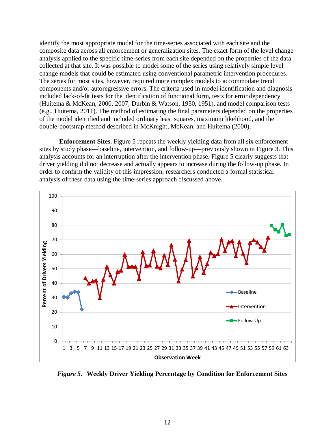identify the most appropriate model for the time-series associated with each site and the composite data across all enforcement or generalization sites. The exact form of the level change analysis applied to the specific time-series from each site depended on the properties of the data collected at that site. It was possible to model some of the series using relatively simple level change models that could be estimated using conventional parametric intervention procedures. The series for most sites, however, required more complex models to accommodate trend components and/or autoregressive errors. The criteria used in model identification and diagnosis included lack-of-fit tests for the identification of functional form, tests for error dependency (Huitema & McKean, 2000, 2007; Durbin & Watson, 1950, 1951), and model comparison tests (e.g., Huitema, 2011). The method of estimating the final parameters depended on the properties of the model identified and included ordinary least squares, maximum likelihood, and the double-bootstrap method described in McKnight, McKean, and Huitema (2000).

**Enforcement Sites.** [Figure 5](#page-19-0) repeats the weekly yielding data from all six enforcement sites by study phase—baseline, intervention, and follow-up—previously shown in Figure 3. This analysis accounts for an interruption after the intervention phase. [Figure 5](#page-19-0) clearly suggests that driver yielding did not decrease and actually appears to increase during the follow-up phase. In order to confirm the validity of this impression, researchers conducted a formal statistical analysis of these data using the time-series approach discussed above.



<span id="page-19-0"></span>*Figure 5.* **Weekly Driver Yielding Percentage by Condition for Enforcement Sites**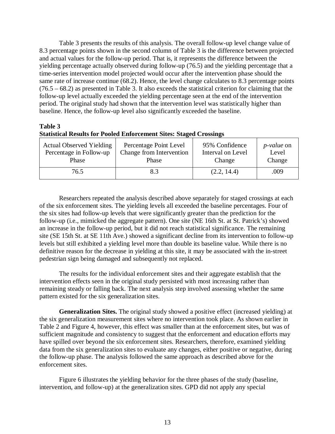[Table 3](#page-20-0) presents the results of this analysis. The overall follow-up level change value of 8.3 percentage points shown in the second column of [Table 3](#page-20-0) is the difference between projected and actual values for the follow-up period. That is, it represents the difference between the yielding percentage actually observed during follow-up (76.5) and the yielding percentage that a time-series intervention model projected would occur after the intervention phase should the same rate of increase continue (68.2). Hence, the level change calculates to 8.3 percentage points (76.5 – 68.2) as presented in [Table 3.](#page-20-0) It also exceeds the statistical criterion for claiming that the follow-up level actually exceeded the yielding percentage seen at the end of the intervention period. The original study had shown that the intervention level was statistically higher than baseline. Hence, the follow-up level also significantly exceeded the baseline.

### **Table 3**

### <span id="page-20-0"></span>**Statistical Results for Pooled Enforcement Sites: Staged Crossings**

| <b>Actual Observed Yielding</b> | Percentage Point Level   | 95% Confidence    | <i>p</i> - <i>value</i> on |
|---------------------------------|--------------------------|-------------------|----------------------------|
| Percentage in Follow-up         | Change from Intervention | Interval on Level | Level                      |
| Phase                           | Phase                    | Change            | Change                     |
| 76.5                            | 8.3                      | (2.2, 14.4)       | .009                       |

Researchers repeated the analysis described above separately for staged crossings at each of the six enforcement sites. The yielding levels all exceeded the baseline percentages. Four of the six sites had follow-up levels that were significantly greater than the prediction for the follow-up (i.e., mimicked the aggregate pattern). One site (NE 16th St. at St. Patrick's) showed an increase in the follow-up period, but it did not reach statistical significance. The remaining site (SE 15th St. at SE 11th Ave.) showed a significant decline from its intervention to follow-up levels but still exhibited a yielding level more than double its baseline value. While there is no definitive reason for the decrease in yielding at this site, it may be associated with the in-street pedestrian sign being damaged and subsequently not replaced.

The results for the individual enforcement sites and their aggregate establish that the intervention effects seen in the original study persisted with most increasing rather than remaining steady or falling back. The next analysis step involved assessing whether the same pattern existed for the six generalization sites.

**Generalization Sites.** The original study showed a positive effect (increased yielding) at the six generalization measurement sites where no intervention took place. As shown earlier in Table 2 and [Figure 4,](#page-17-0) however, this effect was smaller than at the enforcement sites, but was of sufficient magnitude and consistency to suggest that the enforcement and education efforts may have spilled over beyond the six enforcement sites. Researchers, therefore, examined yielding data from the six generalization sites to evaluate any changes, either positive or negative, during the follow-up phase. The analysis followed the same approach as described above for the enforcement sites.

Figure 6 illustrates the yielding behavior for the three phases of the study (baseline, intervention, and follow-up) at the generalization sites. GPD did not apply any special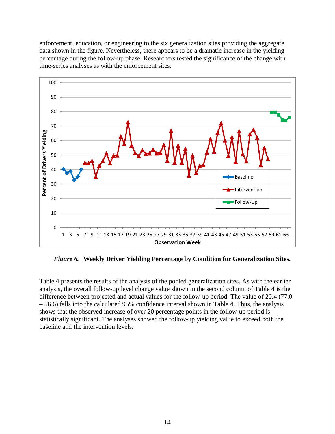enforcement, education, or engineering to the six generalization sites providing the aggregate data shown in the figure. Nevertheless, there appears to be a dramatic increase in the yielding percentage during the follow-up phase. Researchers tested the significance of the change with time-series analyses as with the enforcement sites.



*Figure 6.* **Weekly Driver Yielding Percentage by Condition for Generalization Sites.**

Table 4 presents the results of the analysis of the pooled generalization sites. As with the earlier analysis, the overall follow-up level change value shown in the second column of Table 4 is the difference between projected and actual values for the follow-up period. The value of 20.4 (77.0 – 56.6) falls into the calculated 95% confidence interval shown in Table 4. Thus, the analysis shows that the observed increase of over 20 percentage points in the follow-up period is statistically significant. The analyses showed the follow-up yielding value to exceed both the baseline and the intervention levels.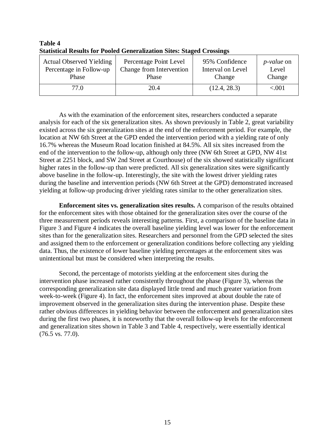| <b>Actual Observed Yielding</b> | Percentage Point Level   | 95% Confidence    | <i>p</i> - <i>value</i> on |
|---------------------------------|--------------------------|-------------------|----------------------------|
| Percentage in Follow-up         | Change from Intervention | Interval on Level | Level                      |
| Phase                           | Phase                    | Change            | Change                     |
| 77.O                            | 20.4                     | (12.4, 28.3)      | < 0.001                    |

<span id="page-22-0"></span>**Table 4 Statistical Results for Pooled Generalization Sites: Staged Crossings**

As with the examination of the enforcement sites, researchers conducted a separate analysis for each of the six generalization sites. As shown previously in Table 2, great variability existed across the six generalization sites at the end of the enforcement period. For example, the location at NW 6th Street at the GPD ended the intervention period with a yielding rate of only 16.7% whereas the Museum Road location finished at 84.5%. All six sites increased from the end of the intervention to the follow-up, although only three (NW 6th Street at GPD, NW 41st Street at 2251 block, and SW 2nd Street at Courthouse) of the six showed statistically significant higher rates in the follow-up than were predicted. All six generalization sites were significantly above baseline in the follow-up. Interestingly, the site with the lowest driver yielding rates during the baseline and intervention periods (NW 6th Street at the GPD) demonstrated increased yielding at follow-up producing driver yielding rates similar to the other generalization sites.

**Enforcement sites vs. generalization sites results.** A comparison of the results obtained for the enforcement sites with those obtained for the generalization sites over the course of the three measurement periods reveals interesting patterns. First, a comparison of the baseline data in Figure 3 and [Figure 4](#page-17-0) indicates the overall baseline yielding level was lower for the enforcement sites than for the generalization sites. Researchers and personnel from the GPD selected the sites and assigned them to the enforcement or generalization conditions before collecting any yielding data. Thus, the existence of lower baseline yielding percentages at the enforcement sites was unintentional but must be considered when interpreting the results.

Second, the percentage of motorists yielding at the enforcement sites during the intervention phase increased rather consistently throughout the phase (Figure 3), whereas the corresponding generalization site data displayed little trend and much greater variation from week-to-week [\(Figure 4\)](#page-17-0). In fact, the enforcement sites improved at about double the rate of improvement observed in the generalization sites during the intervention phase. Despite these rather obvious differences in yielding behavior between the enforcement and generalization sites during the first two phases, it is noteworthy that the overall follow-up levels for the enforcement and generalization sites shown in [Table 3](#page-20-0) and [Table 4,](#page-22-0) respectively, were essentially identical (76.5 vs. 77.0).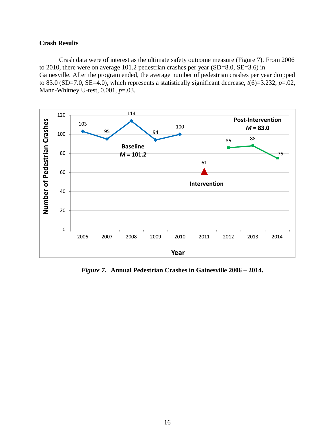#### <span id="page-23-0"></span>**Crash Results**

Crash data were of interest as the ultimate safety outcome measure [\(Figure 7\)](#page-23-1). From 2006 to 2010, there were on average 101.2 pedestrian crashes per year (SD=8.0, SE=3.6) in Gainesville. After the program ended, the average number of pedestrian crashes per year dropped to 83.0 (SD=7.0, SE=4.0), which represents a statistically significant decrease,  $t(6)=3.232, p=.02$ , Mann-Whitney U-test, 0.001, *p*=.03.



<span id="page-23-1"></span>*Figure 7.* **Annual Pedestrian Crashes in Gainesville 2006 – 2014.**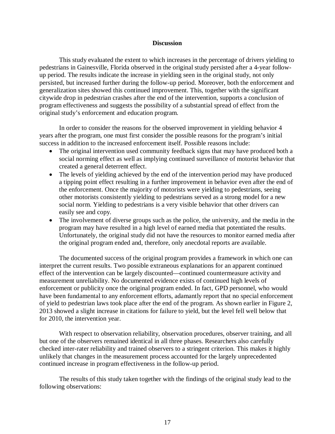#### **Discussion**

<span id="page-24-0"></span>This study evaluated the extent to which increases in the percentage of drivers yielding to pedestrians in Gainesville, Florida observed in the original study persisted after a 4-year followup period. The results indicate the increase in yielding seen in the original study, not only persisted, but increased further during the follow-up period. Moreover, both the enforcement and generalization sites showed this continued improvement. This, together with the significant citywide drop in pedestrian crashes after the end of the intervention, supports a conclusion of program effectiveness and suggests the possibility of a substantial spread of effect from the original study's enforcement and education program.

In order to consider the reasons for the observed improvement in yielding behavior 4 years after the program, one must first consider the possible reasons for the program's initial success in addition to the increased enforcement itself. Possible reasons include:

- The original intervention used community feedback signs that may have produced both a social norming effect as well as implying continued surveillance of motorist behavior that created a general deterrent effect.
- The levels of yielding achieved by the end of the intervention period may have produced a tipping point effect resulting in a further improvement in behavior even after the end of the enforcement. Once the majority of motorists were yielding to pedestrians, seeing other motorists consistently yielding to pedestrians served as a strong model for a new social norm. Yielding to pedestrians is a very visible behavior that other drivers can easily see and copy.
- The involvement of diverse groups such as the police, the university, and the media in the program may have resulted in a high level of earned media that potentiated the results. Unfortunately, the original study did not have the resources to monitor earned media after the original program ended and, therefore, only anecdotal reports are available.

The documented success of the original program provides a framework in which one can interpret the current results. Two possible extraneous explanations for an apparent continued effect of the intervention can be largely discounted—continued countermeasure activity and measurement unreliability. No documented evidence exists of continued high levels of enforcement or publicity once the original program ended. In fact, GPD personnel, who would have been fundamental to any enforcement efforts, adamantly report that no special enforcement of yield to pedestrian laws took place after the end of the program. As shown earlier in [Figure 2,](#page-13-3) 2013 showed a slight increase in citations for failure to yield, but the level fell well below that for 2010, the intervention year.

With respect to observation reliability, observation procedures, observer training, and all but one of the observers remained identical in all three phases. Researchers also carefully checked inter-rater reliability and trained observers to a stringent criterion. This makes it highly unlikely that changes in the measurement process accounted for the largely unprecedented continued increase in program effectiveness in the follow-up period.

The results of this study taken together with the findings of the original study lead to the following observations: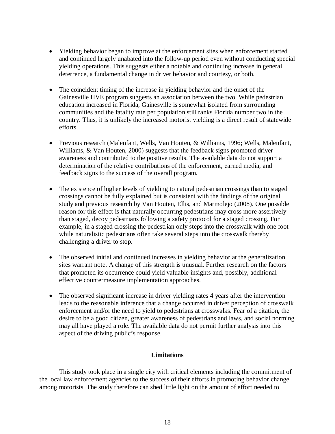- Yielding behavior began to improve at the enforcement sites when enforcement started and continued largely unabated into the follow-up period even without conducting special yielding operations. This suggests either a notable and continuing increase in general deterrence, a fundamental change in driver behavior and courtesy, or both.
- The coincident timing of the increase in yielding behavior and the onset of the Gainesville HVE program suggests an association between the two. While pedestrian education increased in Florida, Gainesville is somewhat isolated from surrounding communities and the fatality rate per population still ranks Florida number two in the country. Thus, it is unlikely the increased motorist yielding is a direct result of statewide efforts.
- Previous research (Malenfant, Wells, Van Houten, & Williams, 1996; Wells, Malenfant, Williams, & Van Houten, 2000) suggests that the feedback signs promoted driver awareness and contributed to the positive results. The available data do not support a determination of the relative contributions of the enforcement, earned media, and feedback signs to the success of the overall program.
- The existence of higher levels of yielding to natural pedestrian crossings than to staged crossings cannot be fully explained but is consistent with the findings of the original study and previous research by Van Houten, Ellis, and Marmolejo (2008). One possible reason for this effect is that naturally occurring pedestrians may cross more assertively than staged, decoy pedestrians following a safety protocol for a staged crossing. For example, in a staged crossing the pedestrian only steps into the crosswalk with one foot while naturalistic pedestrians often take several steps into the crosswalk thereby challenging a driver to stop.
- The observed initial and continued increases in yielding behavior at the generalization sites warrant note. A change of this strength is unusual. Further research on the factors that promoted its occurrence could yield valuable insights and, possibly, additional effective countermeasure implementation approaches.
- The observed significant increase in driver yielding rates 4 years after the intervention leads to the reasonable inference that a change occurred in driver perception of crosswalk enforcement and/or the need to yield to pedestrians at crosswalks. Fear of a citation, the desire to be a good citizen, greater awareness of pedestrians and laws, and social norming may all have played a role. The available data do not permit further analysis into this aspect of the driving public's response.

#### **Limitations**

<span id="page-25-0"></span>This study took place in a single city with critical elements including the commitment of the local law enforcement agencies to the success of their efforts in promoting behavior change among motorists. The study therefore can shed little light on the amount of effort needed to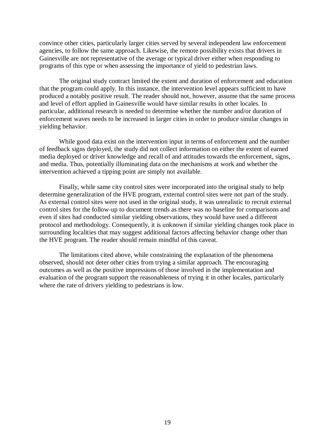convince other cities, particularly larger cities served by several independent law enforcement agencies, to follow the same approach. Likewise, the remote possibility exists that drivers in Gainesville are not representative of the average or typical driver either when responding to programs of this type or when assessing the importance of yield to pedestrian laws.

The original study contract limited the extent and duration of enforcement and education that the program could apply. In this instance, the intervention level appears sufficient to have produced a notably positive result. The reader should not, however, assume that the same process and level of effort applied in Gainesville would have similar results in other locales. In particular, additional research is needed to determine whether the number and/or duration of enforcement waves needs to be increased in larger cities in order to produce similar changes in yielding behavior.

While good data exist on the intervention input in terms of enforcement and the number of feedback signs deployed, the study did not collect information on either the extent of earned media deployed or driver knowledge and recall of and attitudes towards the enforcement, signs, and media. Thus, potentially illuminating data on the mechanisms at work and whether the intervention achieved a tipping point are simply not available.

Finally, while same city control sites were incorporated into the original study to help determine generalization of the HVE program, external control sites were not part of the study. As external control sites were not used in the original study, it was unrealistic to recruit external control sites for the follow-up to document trends as there was no baseline for comparisons and even if sites had conducted similar yielding observations, they would have used a different protocol and methodology. Consequently, it is unknown if similar yielding changes took place in surrounding localities that may suggest additional factors affecting behavior change other than the HVE program. The reader should remain mindful of this caveat.

The limitations cited above, while constraining the explanation of the phenomena observed, should not deter other cities from trying a similar approach. The encouraging outcomes as well as the positive impressions of those involved in the implementation and evaluation of the program support the reasonableness of trying it in other locales, particularly where the rate of drivers yielding to pedestrians is low.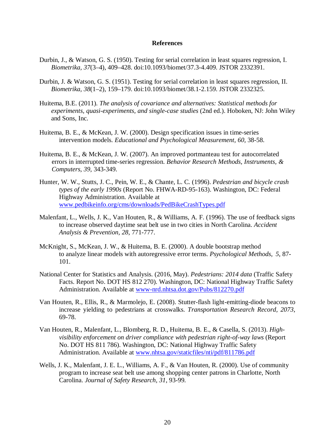#### **References**

- <span id="page-27-0"></span>Durbin, J., & Watson, G. S. (1950). Testing for serial correlation in least squares regression, I. *Biometrika, 37*(3–4), 409–428. doi:10.1093/biomet/37.3-4.409. JSTOR 2332391.
- Durbin, J. & Watson, G. S. (1951). Testing for serial correlation in least squares regression, II. *Biometrika, 38*(1–2), 159–179. doi:10.1093/biomet/38.1-2.159. JSTOR 2332325.
- Huitema, B.E. (2011). *The analysis of covariance and alternatives: Statistical methods for experiments, quasi-experiments, and single-case studies* (2nd ed.). Hoboken, NJ: John Wiley and Sons, Inc.
- Huitema, B. E., & McKean, J. W. (2000). Design specification issues in time-series intervention models. *Educational and Psychological Measurement, 60,* 38-58.
- Huitema, B. E., & McKean, J. W. (2007). An improved portmanteau test for autocorrelated errors in interrupted time-series regression. *Behavior Research Methods, Instruments, & Computers, 39*, 343-349.
- Hunter, W. W., Stutts, J. C., Pein, W. E., & Chante, L. C. (1996). *Pedestrian and bicycle crash types of the early 1990s* (Report No. FHWA-RD-95-163). Washington, DC: Federal Highway Administration. Available at [www.pedbikeinfo.org/cms/downloads/PedBikeCrashTypes.pdf](http://www.pedbikeinfo.org/cms/downloads/PedBikeCrashTypes.pdf)
- Malenfant, L., Wells, J. K., Van Houten, R., & Williams, A. F. (1996). The use of feedback signs to increase observed daytime seat belt use in two cities in North Carolina. *Accident Analysis & Prevention, 28*, 771-777.
- McKnight, S., McKean, J. W., & Huitema, B. E. (2000). A double bootstrap method to analyze linear models with autoregressive error terms. *Psychological Methods, 5*, 87- 101.
- National Center for Statistics and Analysis. (2016, May). *Pedestrians: 2014 data* (Traffic Safety Facts. Report No. DOT HS 812 270). Washington, DC: National Highway Traffic Safety Administration. Available at [www-nrd.nhtsa.dot.gov/Pubs/812270.pdf](http://www-nrd.nhtsa.dot.gov/Pubs/812270.pdf)
- Van Houten, R., Ellis, R., & Marmolejo, E. (2008). Stutter-flash light-emitting-diode beacons to increase yielding to pedestrians at crosswalks. *Transportation Research Record, 2073*, 69-78.
- Van Houten, R., Malenfant, L., Blomberg, R. D., Huitema, B. E., & Casella, S. (2013). *Highvisibility enforcement on driver compliance with pedestrian right-of-way laws* (Report No. DOT HS 811 786). Washington, DC: National Highway Traffic Safety Administration. Available at [www.nhtsa.gov/staticfiles/nti/pdf/811786.pdf](http://www.nhtsa.gov/staticfiles/nti/pdf/811786.pdf)
- Wells, J. K., Malenfant, J. E. L., Williams, A. F., & Van Houten, R. (2000). Use of community program to increase seat belt use among shopping center patrons in Charlotte, North Carolina. *Journal of Safety Research, 31*, 93-99.